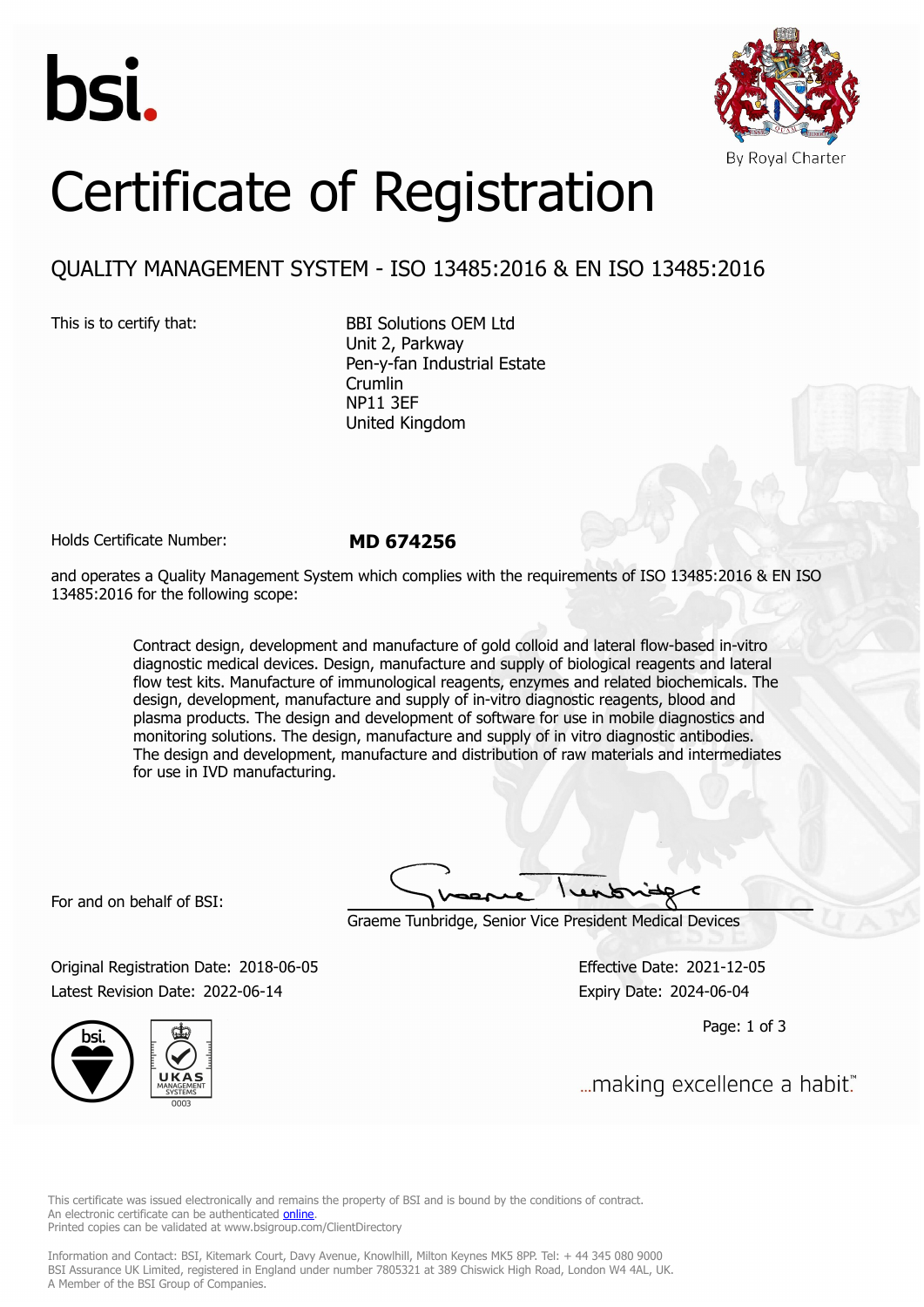



# Certificate of Registration

## QUALITY MANAGEMENT SYSTEM - ISO 13485:2016 & EN ISO 13485:2016

This is to certify that: BBI Solutions OEM Ltd Unit 2, Parkway Pen-y-fan Industrial Estate Crumlin NP11 3EF United Kingdom

Holds Certificate Number: **MD 674256**

and operates a Quality Management System which complies with the requirements of ISO 13485:2016 & EN ISO 13485:2016 for the following scope:

> Contract design, development and manufacture of gold colloid and lateral flow-based in-vitro diagnostic medical devices. Design, manufacture and supply of biological reagents and lateral flow test kits. Manufacture of immunological reagents, enzymes and related biochemicals. The design, development, manufacture and supply of in-vitro diagnostic reagents, blood and plasma products. The design and development of software for use in mobile diagnostics and monitoring solutions. The design, manufacture and supply of in vitro diagnostic antibodies. The design and development, manufacture and distribution of raw materials and intermediates for use in IVD manufacturing.

For and on behalf of BSI:

Graeme Tunbridge, Senior Vice President Medical Devices

Original Registration Date: 2018-06-05 Effective Date: 2021-12-05 Latest Revision Date: 2022-06-14 Expiry Date: 2024-06-04



Page: 1 of 3

"...making excellence a habit.

This certificate was issued electronically and remains the property of BSI and is bound by the conditions of contract. An electronic certificate can be authenticated **[online](https://pgplus.bsigroup.com/CertificateValidation/CertificateValidator.aspx?CertificateNumber=MD+674256&ReIssueDate=14%2f06%2f2022&Template=uk)**. Printed copies can be validated at www.bsigroup.com/ClientDirectory

Information and Contact: BSI, Kitemark Court, Davy Avenue, Knowlhill, Milton Keynes MK5 8PP. Tel: + 44 345 080 9000 BSI Assurance UK Limited, registered in England under number 7805321 at 389 Chiswick High Road, London W4 4AL, UK. A Member of the BSI Group of Companies.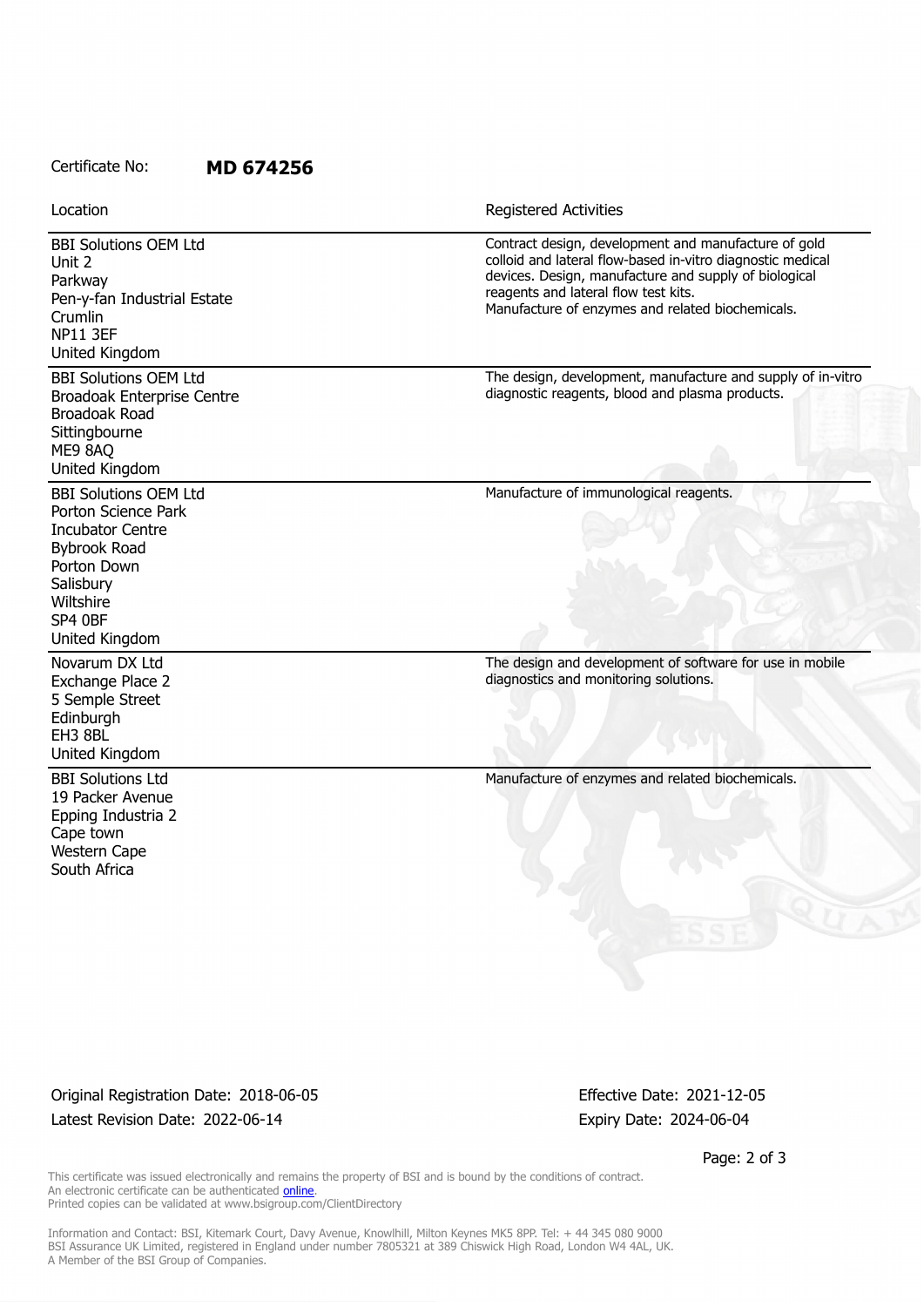### Certificate No: **MD 674256**

Unit 2

EH3 8BL United Kingdom

Cape town Western Cape South Africa

BBI Solutions Ltd 19 Packer Avenue Epping Industria 2

BBI Solutions OEM Ltd Parkway Pen-y-fan Industrial Estate Crumlin NP11 3EF United Kingdom Contract design, development and manufacture of gold colloid and lateral flow-based in-vitro diagnostic medical devices. Design, manufacture and supply of biological reagents and lateral flow test kits. Manufacture of enzymes and related biochemicals. BBI Solutions OEM Ltd Broadoak Enterprise Centre Broadoak Road **Sittingbourne** ME9 8AQ United Kingdom The design, development, manufacture and supply of in-vitro diagnostic reagents, blood and plasma products. BBI Solutions OEM Ltd Porton Science Park Incubator Centre Bybrook Road Porton Down **Salisbury Wiltshire** SP4 0BF United Kingdom Manufacture of immunological reagents. Novarum DX Ltd Exchange Place 2 5 Semple Street Edinburgh The design and development of software for use in mobile diagnostics and monitoring solutions. Location **Exercise 2018 Location Registered Activities** 

Manufacture of enzymes and related biochemicals.

Original Registration Date: 2018-06-05 Effective Date: 2021-12-05 Latest Revision Date: 2022-06-14 **Expiry Date: 2024-06-04** Expiry Date: 2024-06-04

Page: 2 of 3

This certificate was issued electronically and remains the property of BSI and is bound by the conditions of contract. An electronic certificate can be authenticated **[online](https://pgplus.bsigroup.com/CertificateValidation/CertificateValidator.aspx?CertificateNumber=MD+674256&ReIssueDate=14%2f06%2f2022&Template=uk)**. Printed copies can be validated at www.bsigroup.com/ClientDirectory

Information and Contact: BSI, Kitemark Court, Davy Avenue, Knowlhill, Milton Keynes MK5 8PP. Tel: + 44 345 080 9000 BSI Assurance UK Limited, registered in England under number 7805321 at 389 Chiswick High Road, London W4 4AL, UK. A Member of the BSI Group of Companies.